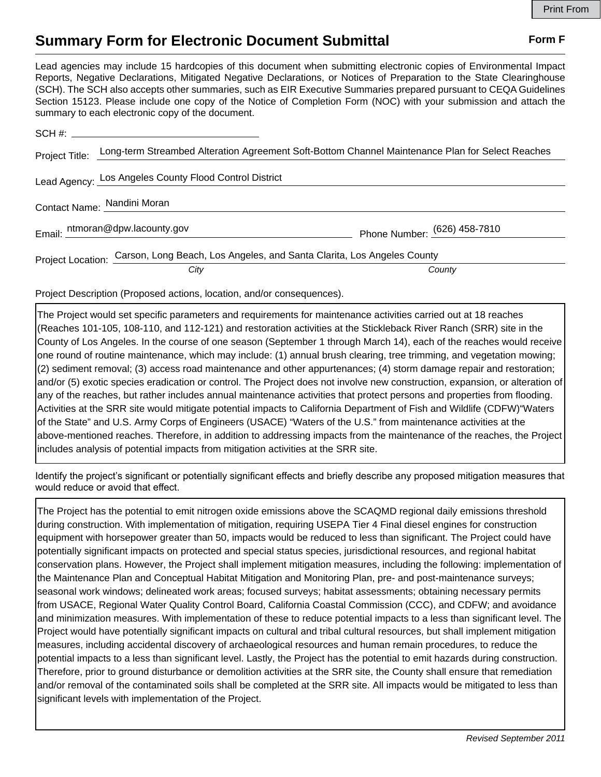## **Summary Form for Electronic Document Submittal Form F Form F**

Lead agencies may include 15 hardcopies of this document when submitting electronic copies of Environmental Impact Reports, Negative Declarations, Mitigated Negative Declarations, or Notices of Preparation to the State Clearinghouse (SCH). The SCH also accepts other summaries, such as EIR Executive Summaries prepared pursuant to CEQA Guidelines Section 15123. Please include one copy of the Notice of Completion Form (NOC) with your submission and attach the summary to each electronic copy of the document.

|  | Project Title: Long-term Streambed Alteration Agreement Soft-Bottom Channel Maintenance Plan for Select Reaches |                              |
|--|-----------------------------------------------------------------------------------------------------------------|------------------------------|
|  | Lead Agency: Los Angeles County Flood Control District                                                          |                              |
|  | Contact Name: Nandini Moran                                                                                     |                              |
|  | Email: ntmoran@dpw.lacounty.gov                                                                                 | Phone Number: (626) 458-7810 |
|  | Project Location: Carson, Long Beach, Los Angeles, and Santa Clarita, Los Angeles County                        |                              |
|  | City                                                                                                            | County                       |

Project Description (Proposed actions, location, and/or consequences).

The Project would set specific parameters and requirements for maintenance activities carried out at 18 reaches (Reaches 101-105, 108-110, and 112-121) and restoration activities at the Stickleback River Ranch (SRR) site in the County of Los Angeles. In the course of one season (September 1 through March 14), each of the reaches would receive one round of routine maintenance, which may include: (1) annual brush clearing, tree trimming, and vegetation mowing; (2) sediment removal; (3) access road maintenance and other appurtenances; (4) storm damage repair and restoration; and/or (5) exotic species eradication or control. The Project does not involve new construction, expansion, or alteration of any of the reaches, but rather includes annual maintenance activities that protect persons and properties from flooding. Activities at the SRR site would mitigate potential impacts to California Department of Fish and Wildlife (CDFW)"Waters of the State" and U.S. Army Corps of Engineers (USACE) "Waters of the U.S." from maintenance activities at the above-mentioned reaches. Therefore, in addition to addressing impacts from the maintenance of the reaches, the Project includes analysis of potential impacts from mitigation activities at the SRR site.

Identify the project's significant or potentially significant effects and briefly describe any proposed mitigation measures that would reduce or avoid that effect.

The Project has the potential to emit nitrogen oxide emissions above the SCAQMD regional daily emissions threshold during construction. With implementation of mitigation, requiring USEPA Tier 4 Final diesel engines for construction equipment with horsepower greater than 50, impacts would be reduced to less than significant. The Project could have potentially significant impacts on protected and special status species, jurisdictional resources, and regional habitat conservation plans. However, the Project shall implement mitigation measures, including the following: implementation of the Maintenance Plan and Conceptual Habitat Mitigation and Monitoring Plan, pre- and post-maintenance surveys; seasonal work windows; delineated work areas; focused surveys; habitat assessments; obtaining necessary permits from USACE, Regional Water Quality Control Board, California Coastal Commission (CCC), and CDFW; and avoidance and minimization measures. With implementation of these to reduce potential impacts to a less than significant level. The Project would have potentially significant impacts on cultural and tribal cultural resources, but shall implement mitigation measures, including accidental discovery of archaeological resources and human remain procedures, to reduce the potential impacts to a less than significant level. Lastly, the Project has the potential to emit hazards during construction. Therefore, prior to ground disturbance or demolition activities at the SRR site, the County shall ensure that remediation and/or removal of the contaminated soils shall be completed at the SRR site. All impacts would be mitigated to less than significant levels with implementation of the Project.